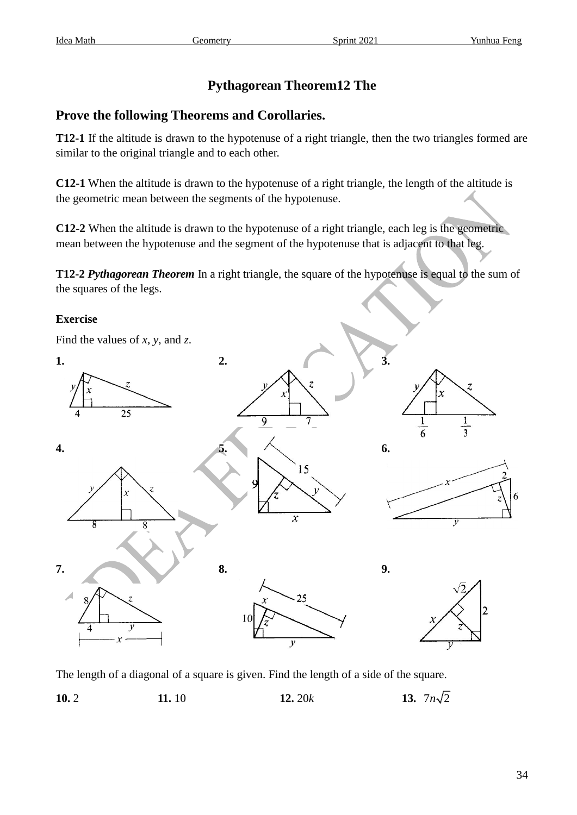## **Pythagorean Theorem12 The**

## **Prove the following Theorems and Corollaries.**

**T12-1** If the altitude is drawn to the hypotenuse of a right triangle, then the two triangles formed are similar to the original triangle and to each other.

**C12-1** When the altitude is drawn to the hypotenuse of a right triangle, the length of the altitude is the geometric mean between the segments of the hypotenuse.

**C12-2** When the altitude is drawn to the hypotenuse of a right triangle, each leg is the geometric mean between the hypotenuse and the segment of the hypotenuse that is adjacent to that leg.

**T12-2** *Pythagorean Theorem* In a right triangle, the square of the hypotenuse is equal to the sum of the squares of the legs.

## **Exercise**



The length of a diagonal of a square is given. Find the length of a side of the square.

**10.** 2 **11.** 10 **12.** 20*k* **13.** 13.  $7n\sqrt{2}$